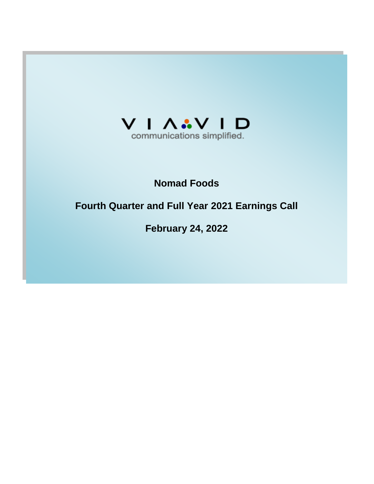

# **Nomad Foods**

# **Fourth Quarter and Full Year 2021 Earnings Call**

**February 24, 2022**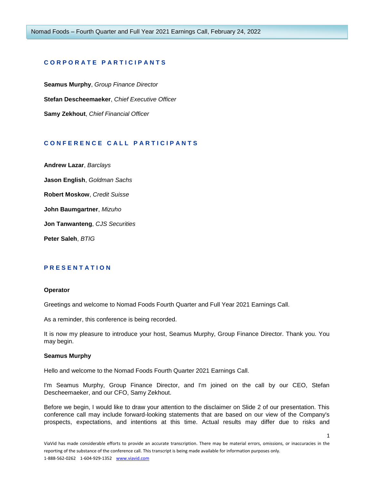## **C O R P O R A T E P A R T I C I P A N T S**

**Seamus Murphy**, *Group Finance Director* **Stefan Descheemaeker**, *Chief Executive Officer* **Samy Zekhout**, *Chief Financial Officer*

# **C O N F E R E N C E C A L L P A R T I C I P A N T S**

**Andrew Lazar**, *Barclays* **Jason English**, *Goldman Sachs* **Robert Moskow**, *Credit Suisse* **John Baumgartner**, *Mizuho*

**Jon Tanwanteng**, *CJS Securities*

**Peter Saleh**, *BTIG*

# **P R E S E N T A T I O N**

#### **Operator**

Greetings and welcome to Nomad Foods Fourth Quarter and Full Year 2021 Earnings Call.

As a reminder, this conference is being recorded.

It is now my pleasure to introduce your host, Seamus Murphy, Group Finance Director. Thank you. You may begin.

## **Seamus Murphy**

Hello and welcome to the Nomad Foods Fourth Quarter 2021 Earnings Call.

I'm Seamus Murphy, Group Finance Director, and I'm joined on the call by our CEO, Stefan Descheemaeker, and our CFO, Samy Zekhout.

Before we begin, I would like to draw your attention to the disclaimer on Slide 2 of our presentation. This conference call may include forward-looking statements that are based on our view of the Company's prospects, expectations, and intentions at this time. Actual results may differ due to risks and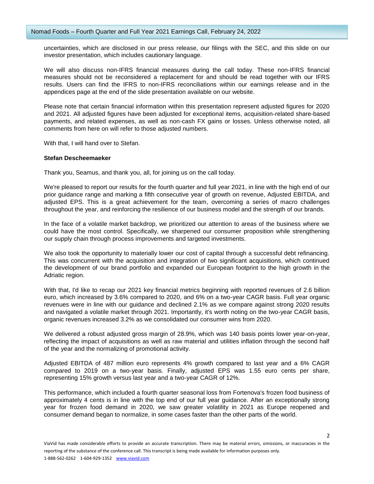uncertainties, which are disclosed in our press release, our filings with the SEC, and this slide on our investor presentation, which includes cautionary language.

We will also discuss non-IFRS financial measures during the call today. These non-IFRS financial measures should not be reconsidered a replacement for and should be read together with our IFRS results. Users can find the IFRS to non-IFRS reconciliations within our earnings release and in the appendices page at the end of the slide presentation available on our website.

Please note that certain financial information within this presentation represent adjusted figures for 2020 and 2021. All adjusted figures have been adjusted for exceptional items, acquisition-related share-based payments, and related expenses, as well as non-cash FX gains or losses. Unless otherwise noted, all comments from here on will refer to those adjusted numbers.

With that, I will hand over to Stefan.

#### **Stefan Descheemaeker**

Thank you, Seamus, and thank you, all, for joining us on the call today.

We're pleased to report our results for the fourth quarter and full year 2021, in line with the high end of our prior guidance range and marking a fifth consecutive year of growth on revenue, Adjusted EBITDA, and adjusted EPS. This is a great achievement for the team, overcoming a series of macro challenges throughout the year, and reinforcing the resilience of our business model and the strength of our brands.

In the face of a volatile market backdrop, we prioritized our attention to areas of the business where we could have the most control. Specifically, we sharpened our consumer proposition while strengthening our supply chain through process improvements and targeted investments.

We also took the opportunity to materially lower our cost of capital through a successful debt refinancing. This was concurrent with the acquisition and integration of two significant acquisitions, which continued the development of our brand portfolio and expanded our European footprint to the high growth in the Adriatic region.

With that, I'd like to recap our 2021 key financial metrics beginning with reported revenues of 2.6 billion euro, which increased by 3.6% compared to 2020, and 6% on a two-year CAGR basis. Full year organic revenues were in line with our guidance and declined 2.1% as we compare against strong 2020 results and navigated a volatile market through 2021. Importantly, it's worth noting on the two-year CAGR basis, organic revenues increased 3.2% as we consolidated our consumer wins from 2020.

We delivered a robust adjusted gross margin of 28.9%, which was 140 basis points lower year-on-year, reflecting the impact of acquisitions as well as raw material and utilities inflation through the second half of the year and the normalizing of promotional activity.

Adjusted EBITDA of 487 million euro represents 4% growth compared to last year and a 6% CAGR compared to 2019 on a two-year basis. Finally, adjusted EPS was 1.55 euro cents per share, representing 15% growth versus last year and a two-year CAGR of 12%.

This performance, which included a fourth quarter seasonal loss from Fortenova's frozen food business of approximately 4 cents is in line with the top end of our full year guidance. After an exceptionally strong year for frozen food demand in 2020, we saw greater volatility in 2021 as Europe reopened and consumer demand began to normalize, in some cases faster than the other parts of the world.

 $\overline{\phantom{a}}$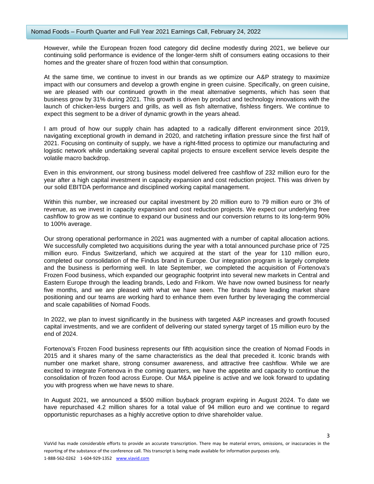However, while the European frozen food category did decline modestly during 2021, we believe our continuing solid performance is evidence of the longer-term shift of consumers eating occasions to their homes and the greater share of frozen food within that consumption.

At the same time, we continue to invest in our brands as we optimize our A&P strategy to maximize impact with our consumers and develop a growth engine in green cuisine. Specifically, on green cuisine, we are pleased with our continued growth in the meat alternative segments, which has seen that business grow by 31% during 2021. This growth is driven by product and technology innovations with the launch of chicken-less burgers and grills, as well as fish alternative, fishless fingers. We continue to expect this segment to be a driver of dynamic growth in the years ahead.

I am proud of how our supply chain has adapted to a radically different environment since 2019, navigating exceptional growth in demand in 2020, and ratcheting inflation pressure since the first half of 2021. Focusing on continuity of supply, we have a right-fitted process to optimize our manufacturing and logistic network while undertaking several capital projects to ensure excellent service levels despite the volatile macro backdrop.

Even in this environment, our strong business model delivered free cashflow of 232 million euro for the year after a high capital investment in capacity expansion and cost reduction project. This was driven by our solid EBITDA performance and disciplined working capital management.

Within this number, we increased our capital investment by 20 million euro to 79 million euro or 3% of revenue, as we invest in capacity expansion and cost reduction projects. We expect our underlying free cashflow to grow as we continue to expand our business and our conversion returns to its long-term 90% to 100% average.

Our strong operational performance in 2021 was augmented with a number of capital allocation actions. We successfully completed two acquisitions during the year with a total announced purchase price of 725 million euro. Findus Switzerland, which we acquired at the start of the year for 110 million euro, completed our consolidation of the Findus brand in Europe. Our integration program is largely complete and the business is performing well. In late September, we completed the acquisition of Fortenova's Frozen Food business, which expanded our geographic footprint into several new markets in Central and Eastern Europe through the leading brands, Ledo and Frikom. We have now owned business for nearly five months, and we are pleased with what we have seen. The brands have leading market share positioning and our teams are working hard to enhance them even further by leveraging the commercial and scale capabilities of Nomad Foods.

In 2022, we plan to invest significantly in the business with targeted A&P increases and growth focused capital investments, and we are confident of delivering our stated synergy target of 15 million euro by the end of 2024.

Fortenova's Frozen Food business represents our fifth acquisition since the creation of Nomad Foods in 2015 and it shares many of the same characteristics as the deal that preceded it. Iconic brands with number one market share, strong consumer awareness, and attractive free cashflow. While we are excited to integrate Fortenova in the coming quarters, we have the appetite and capacity to continue the consolidation of frozen food across Europe. Our M&A pipeline is active and we look forward to updating you with progress when we have news to share.

In August 2021, we announced a \$500 million buyback program expiring in August 2024. To date we have repurchased 4.2 million shares for a total value of 94 million euro and we continue to regard opportunistic repurchases as a highly accretive option to drive shareholder value.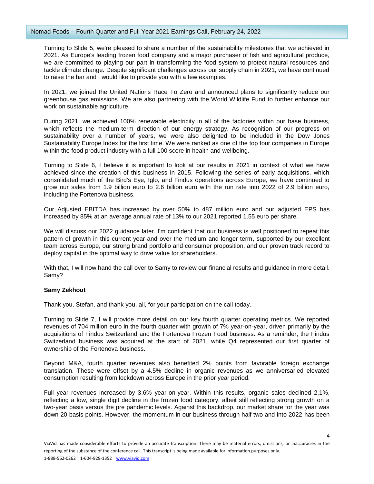## Nomad Foods – Fourth Quarter and Full Year 2021 Earnings Call, February 24, 2022

Turning to Slide 5, we're pleased to share a number of the sustainability milestones that we achieved in 2021. As Europe's leading frozen food company and a major purchaser of fish and agricultural produce, we are committed to playing our part in transforming the food system to protect natural resources and tackle climate change. Despite significant challenges across our supply chain in 2021, we have continued to raise the bar and I would like to provide you with a few examples.

In 2021, we joined the United Nations Race To Zero and announced plans to significantly reduce our greenhouse gas emissions. We are also partnering with the World Wildlife Fund to further enhance our work on sustainable agriculture.

During 2021, we achieved 100% renewable electricity in all of the factories within our base business, which reflects the medium-term direction of our energy strategy. As recognition of our progress on sustainability over a number of years, we were also delighted to be included in the Dow Jones Sustainability Europe Index for the first time. We were ranked as one of the top four companies in Europe within the food product industry with a full 100 score in health and wellbeing.

Turning to Slide 6, I believe it is important to look at our results in 2021 in context of what we have achieved since the creation of this business in 2015. Following the series of early acquisitions, which consolidated much of the Bird's Eye, Iglo, and Findus operations across Europe, we have continued to grow our sales from 1.9 billion euro to 2.6 billion euro with the run rate into 2022 of 2.9 billion euro, including the Fortenova business.

Our Adjusted EBITDA has increased by over 50% to 487 million euro and our adjusted EPS has increased by 85% at an average annual rate of 13% to our 2021 reported 1.55 euro per share.

We will discuss our 2022 guidance later. I'm confident that our business is well positioned to repeat this pattern of growth in this current year and over the medium and longer term, supported by our excellent team across Europe, our strong brand portfolio and consumer proposition, and our proven track record to deploy capital in the optimal way to drive value for shareholders.

With that, I will now hand the call over to Samy to review our financial results and guidance in more detail. Samy?

# **Samy Zekhout**

Thank you, Stefan, and thank you, all, for your participation on the call today.

Turning to Slide 7, I will provide more detail on our key fourth quarter operating metrics. We reported revenues of 704 million euro in the fourth quarter with growth of 7% year-on-year, driven primarily by the acquisitions of Findus Switzerland and the Fortenova Frozen Food business. As a reminder, the Findus Switzerland business was acquired at the start of 2021, while Q4 represented our first quarter of ownership of the Fortenova business.

Beyond M&A, fourth quarter revenues also benefited 2% points from favorable foreign exchange translation. These were offset by a 4.5% decline in organic revenues as we anniversaried elevated consumption resulting from lockdown across Europe in the prior year period.

Full year revenues increased by 3.6% year-on-year. Within this results, organic sales declined 2.1%, reflecting a low, single digit decline in the frozen food category, albeit still reflecting strong growth on a two-year basis versus the pre pandemic levels. Against this backdrop, our market share for the year was down 20 basis points. However, the momentum in our business through half two and into 2022 has been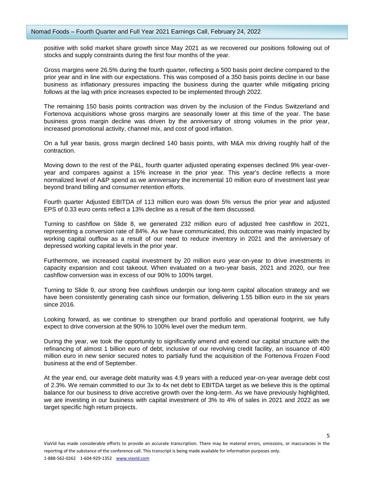positive with solid market share growth since May 2021 as we recovered our positions following out of stocks and supply constraints during the first four months of the year.

Gross margins were 26.5% during the fourth quarter, reflecting a 500 basis point decline compared to the prior year and in line with our expectations. This was composed of a 350 basis points decline in our base business as inflationary pressures impacting the business during the quarter while mitigating pricing follows at the lag with price increases expected to be implemented through 2022.

The remaining 150 basis points contraction was driven by the inclusion of the Findus Switzerland and Fortenova acquisitions whose gross margins are seasonally lower at this time of the year. The base business gross margin decline was driven by the anniversary of strong volumes in the prior year, increased promotional activity, channel mix, and cost of good inflation.

On a full year basis, gross margin declined 140 basis points, with M&A mix driving roughly half of the contraction.

Moving down to the rest of the P&L, fourth quarter adjusted operating expenses declined 9% year-overyear and compares against a 15% increase in the prior year. This year's decline reflects a more normalized level of A&P spend as we anniversary the incremental 10 million euro of investment last year beyond brand billing and consumer retention efforts.

Fourth quarter Adjusted EBITDA of 113 million euro was down 5% versus the prior year and adjusted EPS of 0.33 euro cents reflect a 13% decline as a result of the item discussed.

Turning to cashflow on Slide 8, we generated 232 million euro of adjusted free cashflow in 2021, representing a conversion rate of 84%. As we have communicated, this outcome was mainly impacted by working capital outflow as a result of our need to reduce inventory in 2021 and the anniversary of depressed working capital levels in the prior year.

Furthermore, we increased capital investment by 20 million euro year-on-year to drive investments in capacity expansion and cost takeout. When evaluated on a two-year basis, 2021 and 2020, our free cashflow conversion was in excess of our 90% to 100% target.

Turning to Slide 9, our strong free cashflows underpin our long-term capital allocation strategy and we have been consistently generating cash since our formation, delivering 1.55 billion euro in the six years since 2016.

Looking forward, as we continue to strengthen our brand portfolio and operational footprint, we fully expect to drive conversion at the 90% to 100% level over the medium term.

During the year, we took the opportunity to significantly amend and extend our capital structure with the refinancing of almost 1 billion euro of debt, inclusive of our revolving credit facility, an issuance of 400 million euro in new senior secured notes to partially fund the acquisition of the Fortenova Frozen Food business at the end of September.

At the year end, our average debt maturity was 4.9 years with a reduced year-on-year average debt cost of 2.3%. We remain committed to our 3x to 4x net debt to EBITDA target as we believe this is the optimal balance for our business to drive accretive growth over the long-term. As we have previously highlighted, we are investing in our business with capital investment of 3% to 4% of sales in 2021 and 2022 as we target specific high return projects.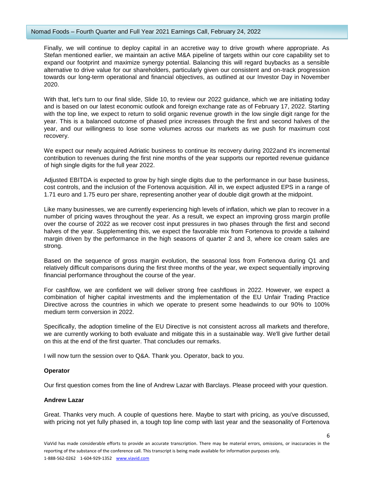## Nomad Foods – Fourth Quarter and Full Year 2021 Earnings Call, February 24, 2022

Finally, we will continue to deploy capital in an accretive way to drive growth where appropriate. As Stefan mentioned earlier, we maintain an active M&A pipeline of targets within our core capability set to expand our footprint and maximize synergy potential. Balancing this will regard buybacks as a sensible alternative to drive value for our shareholders, particularly given our consistent and on-track progression towards our long-term operational and financial objectives, as outlined at our Investor Day in November 2020.

With that, let's turn to our final slide, Slide 10, to review our 2022 guidance, which we are initiating today and is based on our latest economic outlook and foreign exchange rate as of February 17, 2022. Starting with the top line, we expect to return to solid organic revenue growth in the low single digit range for the year. This is a balanced outcome of phased price increases through the first and second halves of the year, and our willingness to lose some volumes across our markets as we push for maximum cost recovery.

We expect our newly acquired Adriatic business to continue its recovery during 2022and it's incremental contribution to revenues during the first nine months of the year supports our reported revenue guidance of high single digits for the full year 2022.

Adjusted EBITDA is expected to grow by high single digits due to the performance in our base business, cost controls, and the inclusion of the Fortenova acquisition. All in, we expect adjusted EPS in a range of 1.71 euro and 1.75 euro per share, representing another year of double digit growth at the midpoint.

Like many businesses, we are currently experiencing high levels of inflation, which we plan to recover in a number of pricing waves throughout the year. As a result, we expect an improving gross margin profile over the course of 2022 as we recover cost input pressures in two phases through the first and second halves of the year. Supplementing this, we expect the favorable mix from Fortenova to provide a tailwind margin driven by the performance in the high seasons of quarter 2 and 3, where ice cream sales are strong.

Based on the sequence of gross margin evolution, the seasonal loss from Fortenova during Q1 and relatively difficult comparisons during the first three months of the year, we expect sequentially improving financial performance throughout the course of the year.

For cashflow, we are confident we will deliver strong free cashflows in 2022. However, we expect a combination of higher capital investments and the implementation of the EU Unfair Trading Practice Directive across the countries in which we operate to present some headwinds to our 90% to 100% medium term conversion in 2022

Specifically, the adoption timeline of the EU Directive is not consistent across all markets and therefore, we are currently working to both evaluate and mitigate this in a sustainable way. We'll give further detail on this at the end of the first quarter. That concludes our remarks.

I will now turn the session over to Q&A. Thank you. Operator, back to you.

# **Operator**

Our first question comes from the line of Andrew Lazar with Barclays. Please proceed with your question.

# **Andrew Lazar**

Great. Thanks very much. A couple of questions here. Maybe to start with pricing, as you've discussed, with pricing not yet fully phased in, a tough top line comp with last year and the seasonality of Fortenova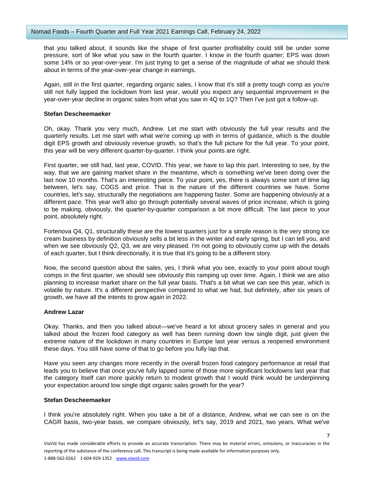that you talked about, it sounds like the shape of first quarter profitability could still be under some pressure, sort of like what you saw in the fourth quarter. I know in the fourth quarter; EPS was down some 14% or so year-over-year. I'm just trying to get a sense of the magnitude of what we should think about in terms of the year-over-year change in earnings.

Again, still in the first quarter, regarding organic sales, I know that it's still a pretty tough comp as you're still not fully lapped the lockdown from last year, would you expect any sequential improvement in the year-over-year decline in organic sales from what you saw in 4Q to 1Q? Then I've just got a follow-up.

# **Stefan Descheemaeker**

Oh, okay. Thank you very much, Andrew. Let me start with obviously the full year results and the quarterly results. Let me start with what we're coming up with in terms of guidance, which is the double digit EPS growth and obviously revenue growth, so that's the full picture for the full year. To your point, this year will be very different quarter-by-quarter. I think your points are right.

First quarter, we still had, last year, COVID. This year, we have to lap this part. Interesting to see, by the way, that we are gaining market share in the meantime, which is something we've been doing over the last now 10 months. That's an interesting piece. To your point, yes, there is always some sort of time lag between, let's say, COGS and price. That is the nature of the different countries we have. Some countries, let's say, structurally the negotiations are happening faster. Some are happening obviously at a different pace. This year we'll also go through potentially several waves of price increase, which is going to be making, obviously, the quarter-by-quarter comparison a bit more difficult. The last piece to your point, absolutely right.

Fortenova Q4, Q1, structurally these are the lowest quarters just for a simple reason is the very strong ice cream business by definition obviously sells a bit less in the winter and early spring, but I can tell you, and when we see obviously Q2, Q3, we are very pleased. I'm not going to obviously come up with the details of each quarter, but I think directionally, it is true that it's going to be a different story.

Now, the second question about the sales, yes, I think what you see, exactly to your point about tough comps in the first quarter, we should see obviously this ramping up over time. Again, I think we are also planning to increase market share on the full year basis. That's a bit what we can see this year, which is volatile by nature. It's a different perspective compared to what we had, but definitely, after six years of growth, we have all the intents to grow again in 2022.

# **Andrew Lazar**

Okay. Thanks, and then you talked about—we've heard a lot about grocery sales in general and you talked about the frozen food category as well has been running down low single digit, just given the extreme nature of the lockdown in many countries in Europe last year versus a reopened environment these days. You still have some of that to go before you fully lap that.

Have you seen any changes more recently in the overall frozen food category performance at retail that leads you to believe that once you've fully lapped some of those more significant lockdowns last year that the category itself can more quickly return to modest growth that I would think would be underpinning your expectation around low single digit organic sales growth for the year?

### **Stefan Descheemaeker**

I think you're absolutely right. When you take a bit of a distance, Andrew, what we can see is on the CAGR basis, two-year basis, we compare obviously, let's say, 2019 and 2021, two years. What we've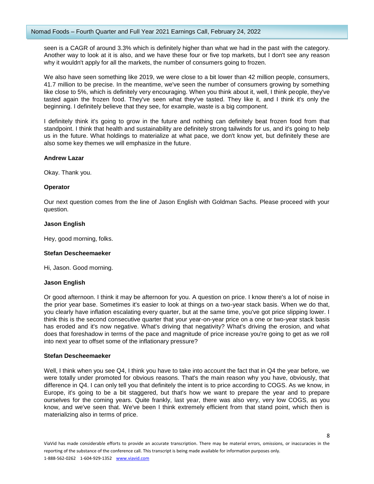seen is a CAGR of around 3.3% which is definitely higher than what we had in the past with the category. Another way to look at it is also, and we have these four or five top markets, but I don't see any reason why it wouldn't apply for all the markets, the number of consumers going to frozen.

We also have seen something like 2019, we were close to a bit lower than 42 million people, consumers, 41.7 million to be precise. In the meantime, we've seen the number of consumers growing by something like close to 5%, which is definitely very encouraging. When you think about it, well, I think people, they've tasted again the frozen food. They've seen what they've tasted. They like it, and I think it's only the beginning. I definitely believe that they see, for example, waste is a big component.

I definitely think it's going to grow in the future and nothing can definitely beat frozen food from that standpoint. I think that health and sustainability are definitely strong tailwinds for us, and it's going to help us in the future. What holdings to materialize at what pace, we don't know yet, but definitely these are also some key themes we will emphasize in the future.

# **Andrew Lazar**

Okay. Thank you.

# **Operator**

Our next question comes from the line of Jason English with Goldman Sachs. Please proceed with your question.

# **Jason English**

Hey, good morning, folks.

# **Stefan Descheemaeker**

Hi, Jason. Good morning.

# **Jason English**

Or good afternoon. I think it may be afternoon for you. A question on price. I know there's a lot of noise in the prior year base. Sometimes it's easier to look at things on a two-year stack basis. When we do that, you clearly have inflation escalating every quarter, but at the same time, you've got price slipping lower. I think this is the second consecutive quarter that your year-on-year price on a one or two-year stack basis has eroded and it's now negative. What's driving that negativity? What's driving the erosion, and what does that foreshadow in terms of the pace and magnitude of price increase you're going to get as we roll into next year to offset some of the inflationary pressure?

# **Stefan Descheemaeker**

Well, I think when you see Q4, I think you have to take into account the fact that in Q4 the year before, we were totally under promoted for obvious reasons. That's the main reason why you have, obviously, that difference in Q4. I can only tell you that definitely the intent is to price according to COGS. As we know, in Europe, it's going to be a bit staggered, but that's how we want to prepare the year and to prepare ourselves for the coming years. Quite frankly, last year, there was also very, very low COGS, as you know, and we've seen that. We've been I think extremely efficient from that stand point, which then is materializing also in terms of price.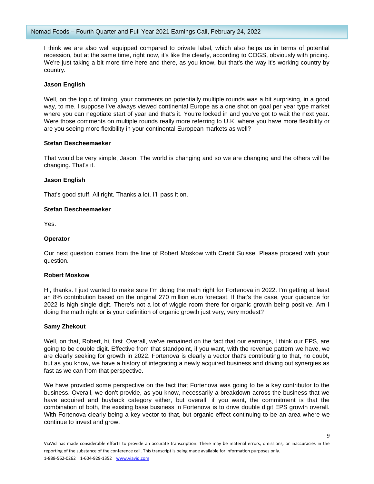I think we are also well equipped compared to private label, which also helps us in terms of potential recession, but at the same time, right now, it's like the clearly, according to COGS, obviously with pricing. We're just taking a bit more time here and there, as you know, but that's the way it's working country by country.

# **Jason English**

Well, on the topic of timing, your comments on potentially multiple rounds was a bit surprising, in a good way, to me. I suppose I've always viewed continental Europe as a one shot on goal per year type market where you can negotiate start of year and that's it. You're locked in and you've got to wait the next year. Were those comments on multiple rounds really more referring to U.K. where you have more flexibility or are you seeing more flexibility in your continental European markets as well?

## **Stefan Descheemaeker**

That would be very simple, Jason. The world is changing and so we are changing and the others will be changing. That's it.

## **Jason English**

That's good stuff. All right. Thanks a lot. I'll pass it on.

## **Stefan Descheemaeker**

Yes.

## **Operator**

Our next question comes from the line of Robert Moskow with Credit Suisse. Please proceed with your question.

#### **Robert Moskow**

Hi, thanks. I just wanted to make sure I'm doing the math right for Fortenova in 2022. I'm getting at least an 8% contribution based on the original 270 million euro forecast. If that's the case, your guidance for 2022 is high single digit. There's not a lot of wiggle room there for organic growth being positive. Am I doing the math right or is your definition of organic growth just very, very modest?

#### **Samy Zhekout**

Well, on that, Robert, hi, first. Overall, we've remained on the fact that our earnings, I think our EPS, are going to be double digit. Effective from that standpoint, if you want, with the revenue pattern we have, we are clearly seeking for growth in 2022. Fortenova is clearly a vector that's contributing to that, no doubt, but as you know, we have a history of integrating a newly acquired business and driving out synergies as fast as we can from that perspective.

We have provided some perspective on the fact that Fortenova was going to be a key contributor to the business. Overall, we don't provide, as you know, necessarily a breakdown across the business that we have acquired and buyback category either, but overall, if you want, the commitment is that the combination of both, the existing base business in Fortenova is to drive double digit EPS growth overall. With Fortenova clearly being a key vector to that, but organic effect continuing to be an area where we continue to invest and grow.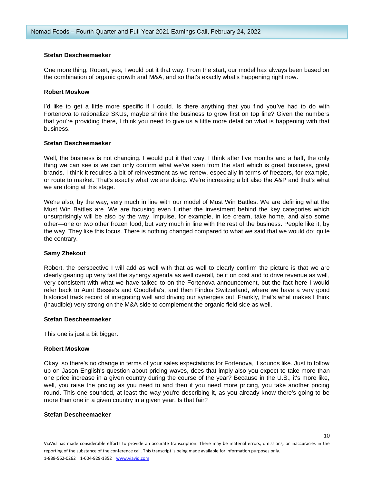## **Stefan Descheemaeker**

One more thing, Robert, yes, I would put it that way. From the start, our model has always been based on the combination of organic growth and M&A, and so that's exactly what's happening right now.

## **Robert Moskow**

I'd like to get a little more specific if I could. Is there anything that you find you've had to do with Fortenova to rationalize SKUs, maybe shrink the business to grow first on top line? Given the numbers that you're providing there, I think you need to give us a little more detail on what is happening with that business.

## **Stefan Descheemaeker**

Well, the business is not changing. I would put it that way. I think after five months and a half, the only thing we can see is we can only confirm what we've seen from the start which is great business, great brands. I think it requires a bit of reinvestment as we renew, especially in terms of freezers, for example, or route to market. That's exactly what we are doing. We're increasing a bit also the A&P and that's what we are doing at this stage.

We're also, by the way, very much in line with our model of Must Win Battles. We are defining what the Must Win Battles are. We are focusing even further the investment behind the key categories which unsurprisingly will be also by the way, impulse, for example, in ice cream, take home, and also some other—one or two other frozen food, but very much in line with the rest of the business. People like it, by the way. They like this focus. There is nothing changed compared to what we said that we would do; quite the contrary.

#### **Samy Zhekout**

Robert, the perspective I will add as well with that as well to clearly confirm the picture is that we are clearly gearing up very fast the synergy agenda as well overall, be it on cost and to drive revenue as well, very consistent with what we have talked to on the Fortenova announcement, but the fact here I would refer back to Aunt Bessie's and Goodfella's, and then Findus Switzerland, where we have a very good historical track record of integrating well and driving our synergies out. Frankly, that's what makes I think (inaudible) very strong on the M&A side to complement the organic field side as well.

#### **Stefan Descheemaeker**

This one is just a bit bigger.

#### **Robert Moskow**

Okay, so there's no change in terms of your sales expectations for Fortenova, it sounds like. Just to follow up on Jason English's question about pricing waves, does that imply also you expect to take more than one price increase in a given country during the course of the year? Because in the U.S., it's more like, well, you raise the pricing as you need to and then if you need more pricing, you take another pricing round. This one sounded, at least the way you're describing it, as you already know there's going to be more than one in a given country in a given year. Is that fair?

#### **Stefan Descheemaeker**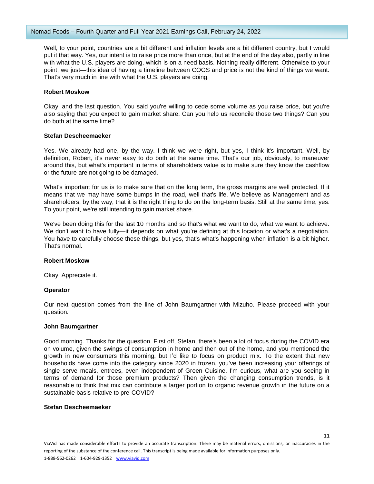Well, to your point, countries are a bit different and inflation levels are a bit different country, but I would put it that way. Yes, our intent is to raise price more than once, but at the end of the day also, partly in line with what the U.S. players are doing, which is on a need basis. Nothing really different. Otherwise to your point, we just—this idea of having a timeline between COGS and price is not the kind of things we want. That's very much in line with what the U.S. players are doing.

## **Robert Moskow**

Okay, and the last question. You said you're willing to cede some volume as you raise price, but you're also saying that you expect to gain market share. Can you help us reconcile those two things? Can you do both at the same time?

## **Stefan Descheemaeker**

Yes. We already had one, by the way. I think we were right, but yes, I think it's important. Well, by definition, Robert, it's never easy to do both at the same time. That's our job, obviously, to maneuver around this, but what's important in terms of shareholders value is to make sure they know the cashflow or the future are not going to be damaged.

What's important for us is to make sure that on the long term, the gross margins are well protected. If it means that we may have some bumps in the road, well that's life. We believe as Management and as shareholders, by the way, that it is the right thing to do on the long-term basis. Still at the same time, yes. To your point, we're still intending to gain market share.

We've been doing this for the last 10 months and so that's what we want to do, what we want to achieve. We don't want to have fully—it depends on what you're defining at this location or what's a negotiation. You have to carefully choose these things, but yes, that's what's happening when inflation is a bit higher. That's normal.

# **Robert Moskow**

Okay. Appreciate it.

# **Operator**

Our next question comes from the line of John Baumgartner with Mizuho. Please proceed with your question.

#### **John Baumgartner**

Good morning. Thanks for the question. First off, Stefan, there's been a lot of focus during the COVID era on volume, given the swings of consumption in home and then out of the home, and you mentioned the growth in new consumers this morning, but I'd like to focus on product mix. To the extent that new households have come into the category since 2020 in frozen, you've been increasing your offerings of single serve meals, entrees, even independent of Green Cuisine. I'm curious, what are you seeing in terms of demand for those premium products? Then given the changing consumption trends, is it reasonable to think that mix can contribute a larger portion to organic revenue growth in the future on a sustainable basis relative to pre-COVID?

### **Stefan Descheemaeker**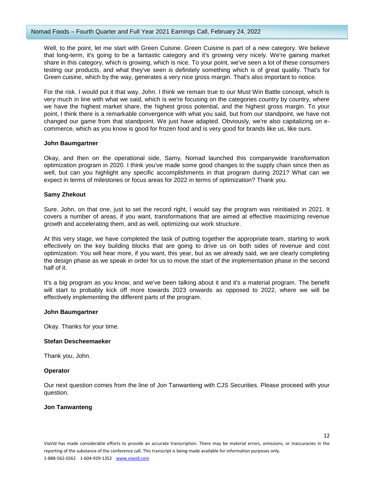Well, to the point, let me start with Green Cuisine. Green Cuisine is part of a new category. We believe that long-term, it's going to be a fantastic category and it's growing very nicely. We're gaining market share in this category, which is growing, which is nice. To your point, we've seen a lot of these consumers testing our products, and what they've seen is definitely something which is of great quality. That's for Green cuisine, which by the way, generates a very nice gross margin. That's also important to notice.

For the risk. I would put it that way, John. I think we remain true to our Must Win Battle concept, which is very much in line with what we said, which is we're focusing on the categories country by country, where we have the highest market share, the highest gross potential, and the highest gross margin. To your point, I think there is a remarkable convergence with what you said, but from our standpoint, we have not changed our game from that standpoint. We just have adapted. Obviously, we're also capitalizing on ecommerce, which as you know is good for frozen food and is very good for brands like us, like ours.

# **John Baumgartner**

Okay, and then on the operational side, Samy, Nomad launched this companywide transformation optimization program in 2020. I think you've made some good changes to the supply chain since then as well, but can you highlight any specific accomplishments in that program during 2021? What can we expect in terms of milestones or focus areas for 2022 in terms of optimization? Thank you.

## **Samy Zhekout**

Sure. John, on that one, just to set the record right, I would say the program was reinitiated in 2021. It covers a number of areas, if you want, transformations that are aimed at effective maximizing revenue growth and accelerating them, and as well, optimizing our work structure.

At this very stage, we have completed the task of putting together the appropriate team, starting to work effectively on the key building blocks that are going to drive us on both sides of revenue and cost optimization. You will hear more, if you want, this year, but as we already said, we are clearly completing the design phase as we speak in order for us to move the start of the implementation phase in the second half of it.

It's a big program as you know, and we've been talking about it and it's a material program. The benefit will start to probably kick off more towards 2023 onwards as opposed to 2022, where we will be effectively implementing the different parts of the program.

#### **John Baumgartner**

Okay. Thanks for your time.

#### **Stefan Descheemaeker**

Thank you, John.

#### **Operator**

Our next question comes from the line of Jon Tanwanteng with CJS Securities. Please proceed with your question.

# **Jon Tanwanteng**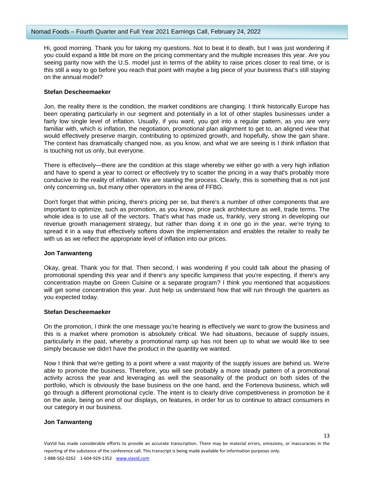Hi, good morning. Thank you for taking my questions. Not to beat it to death, but I was just wondering if you could expand a little bit more on the pricing commentary and the multiple increases this year. Are you seeing parity now with the U.S. model just in terms of the ability to raise prices closer to real time, or is this still a way to go before you reach that point with maybe a big piece of your business that's still staying on the annual model?

## **Stefan Descheemaeker**

Jon, the reality there is the condition, the market conditions are changing. I think historically Europe has been operating particularly in our segment and potentially in a lot of other staples businesses under a fairly low single level of inflation. Usually, if you want, you got into a regular pattern, as you are very familiar with, which is inflation, the negotiation, promotional plan alignment to get to, an aligned view that would effectively preserve margin, contributing to optimized growth, and hopefully, show the gain share. The context has dramatically changed now, as you know, and what we are seeing is I think inflation that is touching not us only, but everyone.

There is effectively—there are the condition at this stage whereby we either go with a very high inflation and have to spend a year to correct or effectively try to scatter the pricing in a way that's probably more conducive to the reality of inflation. We are starting the process. Clearly, this is something that is not just only concerning us, but many other operators in the area of FFBG.

Don't forget that within pricing, there's pricing per se, but there's a number of other components that are important to optimize, such as promotion, as you know, price pack architecture as well, trade terms. The whole idea is to use all of the vectors. That's what has made us, frankly, very strong in developing our revenue growth management strategy, but rather than doing it in one go in the year, we're trying to spread it in a way that effectively softens down the implementation and enables the retailer to really be with us as we reflect the appropriate level of inflation into our prices.

#### **Jon Tanwanteng**

Okay, great. Thank you for that. Then second, I was wondering if you could talk about the phasing of promotional spending this year and if there's any specific lumpiness that you're expecting, if there's any concentration maybe on Green Cuisine or a separate program? I think you mentioned that acquisitions will get some concentration this year. Just help us understand how that will run through the quarters as you expected today.

#### **Stefan Descheemaeker**

On the promotion, I think the one message you're hearing is effectively we want to grow the business and this is a market where promotion is absolutely critical. We had situations, because of supply issues, particularly in the past, whereby a promotional ramp up has not been up to what we would like to see simply because we didn't have the product in the quantity we wanted.

Now I think that we're getting to a point where a vast majority of the supply issues are behind us. We're able to promote the business. Therefore, you will see probably a more steady pattern of a promotional activity across the year and leveraging as well the seasonality of the product on both sides of the portfolio, which is obviously the base business on the one hand, and the Fortenova business, which will go through a different promotional cycle. The intent is to clearly drive competitiveness in promotion be it on the aisle, being on end of our displays, on features, in order for us to continue to attract consumers in our category in our business.

# **Jon Tanwanteng**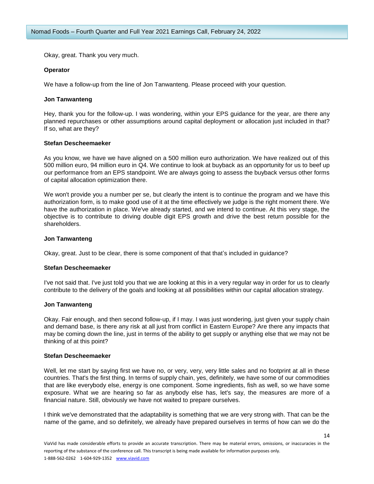Okay, great. Thank you very much.

## **Operator**

We have a follow-up from the line of Jon Tanwanteng. Please proceed with your question.

## **Jon Tanwanteng**

Hey, thank you for the follow-up. I was wondering, within your EPS guidance for the year, are there any planned repurchases or other assumptions around capital deployment or allocation just included in that? If so, what are they?

## **Stefan Descheemaeker**

As you know, we have we have aligned on a 500 million euro authorization. We have realized out of this 500 million euro, 94 million euro in Q4. We continue to look at buyback as an opportunity for us to beef up our performance from an EPS standpoint. We are always going to assess the buyback versus other forms of capital allocation optimization there.

We won't provide you a number per se, but clearly the intent is to continue the program and we have this authorization form, is to make good use of it at the time effectively we judge is the right moment there. We have the authorization in place. We've already started, and we intend to continue. At this very stage, the objective is to contribute to driving double digit EPS growth and drive the best return possible for the shareholders.

## **Jon Tanwanteng**

Okay, great. Just to be clear, there is some component of that that's included in guidance?

#### **Stefan Descheemaeker**

I've not said that. I've just told you that we are looking at this in a very regular way in order for us to clearly contribute to the delivery of the goals and looking at all possibilities within our capital allocation strategy.

#### **Jon Tanwanteng**

Okay. Fair enough, and then second follow-up, if I may. I was just wondering, just given your supply chain and demand base, is there any risk at all just from conflict in Eastern Europe? Are there any impacts that may be coming down the line, just in terms of the ability to get supply or anything else that we may not be thinking of at this point?

## **Stefan Descheemaeker**

Well, let me start by saying first we have no, or very, very, very little sales and no footprint at all in these countries. That's the first thing. In terms of supply chain, yes, definitely, we have some of our commodities that are like everybody else, energy is one component. Some ingredients, fish as well, so we have some exposure. What we are hearing so far as anybody else has, let's say, the measures are more of a financial nature. Still, obviously we have not waited to prepare ourselves.

I think we've demonstrated that the adaptability is something that we are very strong with. That can be the name of the game, and so definitely, we already have prepared ourselves in terms of how can we do the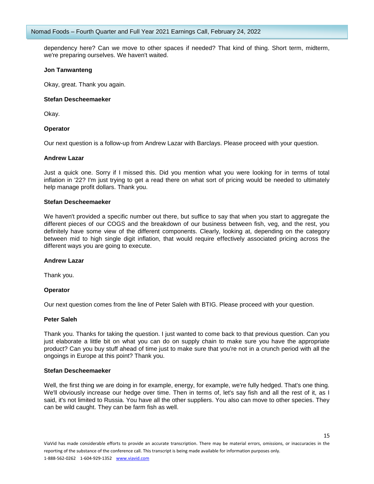dependency here? Can we move to other spaces if needed? That kind of thing. Short term, midterm, we're preparing ourselves. We haven't waited.

# **Jon Tanwanteng**

Okay, great. Thank you again.

## **Stefan Descheemaeker**

Okay.

# **Operator**

Our next question is a follow-up from Andrew Lazar with Barclays. Please proceed with your question.

## **Andrew Lazar**

Just a quick one. Sorry if I missed this. Did you mention what you were looking for in terms of total inflation in '22? I'm just trying to get a read there on what sort of pricing would be needed to ultimately help manage profit dollars. Thank you.

## **Stefan Descheemaeker**

We haven't provided a specific number out there, but suffice to say that when you start to aggregate the different pieces of our COGS and the breakdown of our business between fish, veg, and the rest, you definitely have some view of the different components. Clearly, looking at, depending on the category between mid to high single digit inflation, that would require effectively associated pricing across the different ways you are going to execute.

# **Andrew Lazar**

Thank you.

# **Operator**

Our next question comes from the line of Peter Saleh with BTIG. Please proceed with your question.

#### **Peter Saleh**

Thank you. Thanks for taking the question. I just wanted to come back to that previous question. Can you just elaborate a little bit on what you can do on supply chain to make sure you have the appropriate product? Can you buy stuff ahead of time just to make sure that you're not in a crunch period with all the ongoings in Europe at this point? Thank you.

#### **Stefan Descheemaeker**

Well, the first thing we are doing in for example, energy, for example, we're fully hedged. That's one thing. We'll obviously increase our hedge over time. Then in terms of, let's say fish and all the rest of it, as I said, it's not limited to Russia. You have all the other suppliers. You also can move to other species. They can be wild caught. They can be farm fish as well.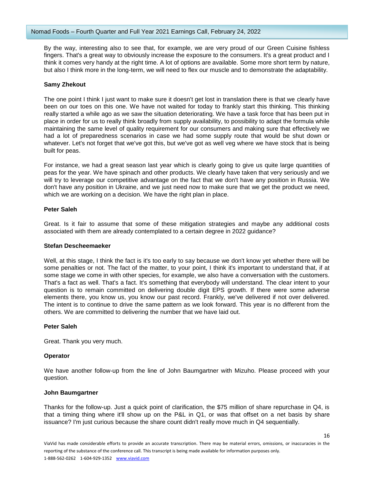By the way, interesting also to see that, for example, we are very proud of our Green Cuisine fishless fingers. That's a great way to obviously increase the exposure to the consumers. It's a great product and I think it comes very handy at the right time. A lot of options are available. Some more short term by nature, but also I think more in the long-term, we will need to flex our muscle and to demonstrate the adaptability.

# **Samy Zhekout**

The one point I think I just want to make sure it doesn't get lost in translation there is that we clearly have been on our toes on this one. We have not waited for today to frankly start this thinking. This thinking really started a while ago as we saw the situation deteriorating. We have a task force that has been put in place in order for us to really think broadly from supply availability, to possibility to adapt the formula while maintaining the same level of quality requirement for our consumers and making sure that effectively we had a lot of preparedness scenarios in case we had some supply route that would be shut down or whatever. Let's not forget that we've got this, but we've got as well veg where we have stock that is being built for peas.

For instance, we had a great season last year which is clearly going to give us quite large quantities of peas for the year. We have spinach and other products. We clearly have taken that very seriously and we will try to leverage our competitive advantage on the fact that we don't have any position in Russia. We don't have any position in Ukraine, and we just need now to make sure that we get the product we need, which we are working on a decision. We have the right plan in place.

# **Peter Saleh**

Great. Is it fair to assume that some of these mitigation strategies and maybe any additional costs associated with them are already contemplated to a certain degree in 2022 guidance?

# **Stefan Descheemaeker**

Well, at this stage, I think the fact is it's too early to say because we don't know yet whether there will be some penalties or not. The fact of the matter, to your point, I think it's important to understand that, if at some stage we come in with other species, for example, we also have a conversation with the customers. That's a fact as well. That's a fact. It's something that everybody will understand. The clear intent to your question is to remain committed on delivering double digit EPS growth. If there were some adverse elements there, you know us, you know our past record. Frankly, we've delivered if not over delivered. The intent is to continue to drive the same pattern as we look forward. This year is no different from the others. We are committed to delivering the number that we have laid out.

# **Peter Saleh**

Great. Thank you very much.

# **Operator**

We have another follow-up from the line of John Baumgartner with Mizuho. Please proceed with your question.

# **John Baumgartner**

Thanks for the follow-up. Just a quick point of clarification, the \$75 million of share repurchase in Q4, is that a timing thing where it'll show up on the P&L in Q1, or was that offset on a net basis by share issuance? I'm just curious because the share count didn't really move much in Q4 sequentially.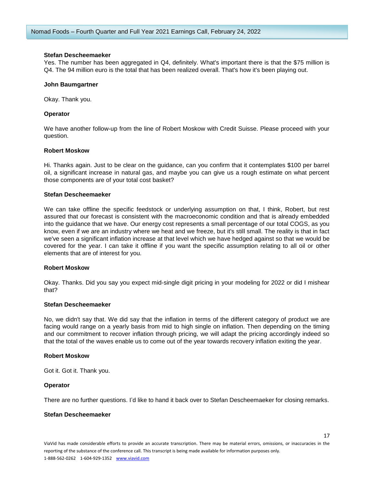## **Stefan Descheemaeker**

Yes. The number has been aggregated in Q4, definitely. What's important there is that the \$75 million is Q4. The 94 million euro is the total that has been realized overall. That's how it's been playing out.

## **John Baumgartner**

Okay. Thank you.

## **Operator**

We have another follow-up from the line of Robert Moskow with Credit Suisse. Please proceed with your question.

## **Robert Moskow**

Hi. Thanks again. Just to be clear on the guidance, can you confirm that it contemplates \$100 per barrel oil, a significant increase in natural gas, and maybe you can give us a rough estimate on what percent those components are of your total cost basket?

## **Stefan Descheemaeker**

We can take offline the specific feedstock or underlying assumption on that, I think, Robert, but rest assured that our forecast is consistent with the macroeconomic condition and that is already embedded into the guidance that we have. Our energy cost represents a small percentage of our total COGS, as you know, even if we are an industry where we heat and we freeze, but it's still small. The reality is that in fact we've seen a significant inflation increase at that level which we have hedged against so that we would be covered for the year. I can take it offline if you want the specific assumption relating to all oil or other elements that are of interest for you.

#### **Robert Moskow**

Okay. Thanks. Did you say you expect mid-single digit pricing in your modeling for 2022 or did I mishear that?

#### **Stefan Descheemaeker**

No, we didn't say that. We did say that the inflation in terms of the different category of product we are facing would range on a yearly basis from mid to high single on inflation. Then depending on the timing and our commitment to recover inflation through pricing, we will adapt the pricing accordingly indeed so that the total of the waves enable us to come out of the year towards recovery inflation exiting the year.

## **Robert Moskow**

Got it. Got it. Thank you.

#### **Operator**

There are no further questions. I'd like to hand it back over to Stefan Descheemaeker for closing remarks.

#### **Stefan Descheemaeker**